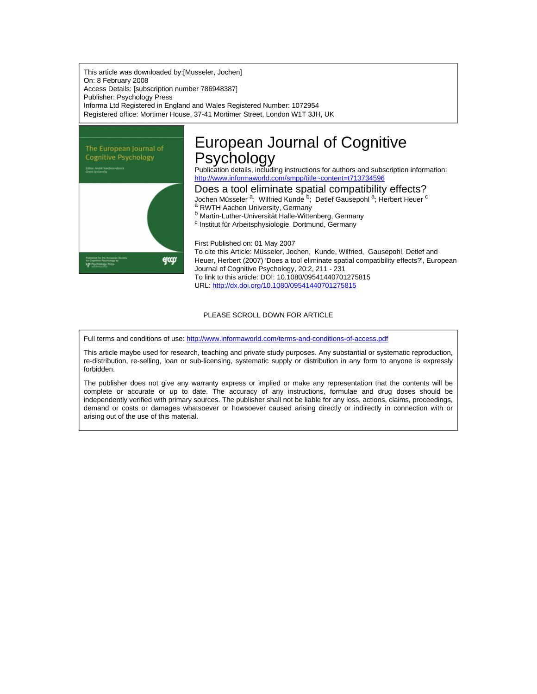This article was downloaded by:[Musseler, Jochen] On: 8 February 2008 Access Details: [subscription number 786948387] Publisher: Psychology Press Informa Ltd Registered in England and Wales Registered Number: 1072954 Registered office: Mortimer House, 37-41 Mortimer Street, London W1T 3JH, UK



# European Journal of Cognitive Psychology

Publication details, including instructions for authors and subscription information: <http://www.informaworld.com/smpp/title~content=t713734596>

Does a tool eliminate spatial compatibility effects?

Jochen Müsseler<sup>a</sup>; Wilfried Kunde <sup>b</sup>; Detlef Gausepohl<sup>a</sup>; Herbert Heuer <sup>c</sup>

a<br>RWTH Aachen University, Germany

- <sup>b</sup> Martin-Luther-Universität Halle-Wittenberg, Germany
- <sup>c</sup> Institut für Arbeitsphysiologie, Dortmund, Germany

#### First Published on: 01 May 2007

To cite this Article: Müsseler, Jochen, Kunde, Wilfried, Gausepohl, Detlef and Heuer, Herbert (2007) 'Does a tool eliminate spatial compatibility effects?', European Journal of Cognitive Psychology, 20:2, 211 - 231 To link to this article: DOI: 10.1080/09541440701275815 URL: <http://dx.doi.org/10.1080/09541440701275815>

#### PLEASE SCROLL DOWN FOR ARTICLE

Full terms and conditions of use: <http://www.informaworld.com/terms-and-conditions-of-access.pdf>

This article maybe used for research, teaching and private study purposes. Any substantial or systematic reproduction, re-distribution, re-selling, loan or sub-licensing, systematic supply or distribution in any form to anyone is expressly forbidden.

The publisher does not give any warranty express or implied or make any representation that the contents will be complete or accurate or up to date. The accuracy of any instructions, formulae and drug doses should be independently verified with primary sources. The publisher shall not be liable for any loss, actions, claims, proceedings, demand or costs or damages whatsoever or howsoever caused arising directly or indirectly in connection with or arising out of the use of this material.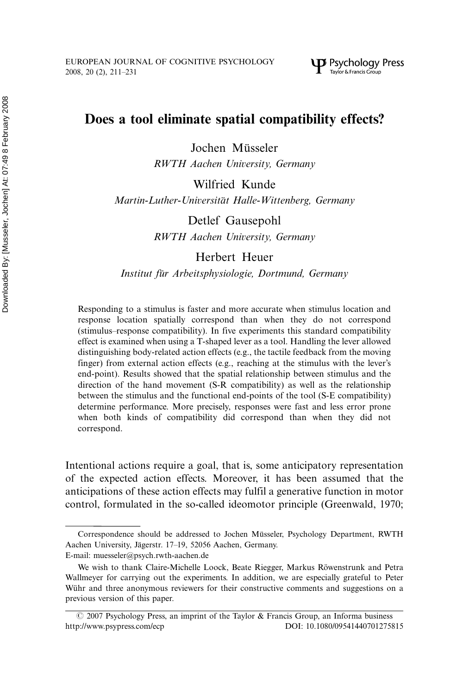# Does a tool eliminate spatial compatibility effects?

Jochen Müsseler

RWTH Aachen University, Germany

Wilfried Kunde

Martin-Luther-Universität Halle-Wittenberg, Germany

Detlef Gausepohl RWTH Aachen University, Germany

Herbert Heuer

Institut für Arbeitsphysiologie, Dortmund, Germany

Responding to a stimulus is faster and more accurate when stimulus location and response location spatially correspond than when they do not correspond (stimulus–response compatibility). In five experiments this standard compatibility effect is examined when using a T-shaped lever as a tool. Handling the lever allowed distinguishing body-related action effects (e.g., the tactile feedback from the moving finger) from external action effects (e.g., reaching at the stimulus with the lever's end-point). Results showed that the spatial relationship between stimulus and the direction of the hand movement (S-R compatibility) as well as the relationship between the stimulus and the functional end-points of the tool (S-E compatibility) determine performance. More precisely, responses were fast and less error prone when both kinds of compatibility did correspond than when they did not correspond.

Intentional actions require a goal, that is, some anticipatory representation of the expected action effects. Moreover, it has been assumed that the anticipations of these action effects may fulfil a generative function in motor control, formulated in the so-called ideomotor principle (Greenwald, 1970;

Correspondence should be addressed to Jochen Müsseler, Psychology Department, RWTH Aachen University, Jägerstr. 17-19, 52056 Aachen, Germany.

E-mail: muesseler@psych.rwth-aachen.de

We wish to thank Claire-Michelle Loock, Beate Riegger, Markus Röwenstrunk and Petra Wallmeyer for carrying out the experiments. In addition, we are especially grateful to Peter Wühr and three anonymous reviewers for their constructive comments and suggestions on a previous version of this paper.

 $\odot$  2007 Psychology Press, an imprint of the Taylor & Francis Group, an Informa business http://www.psypress.com/ecp DOI: 10.1080/09541440701275815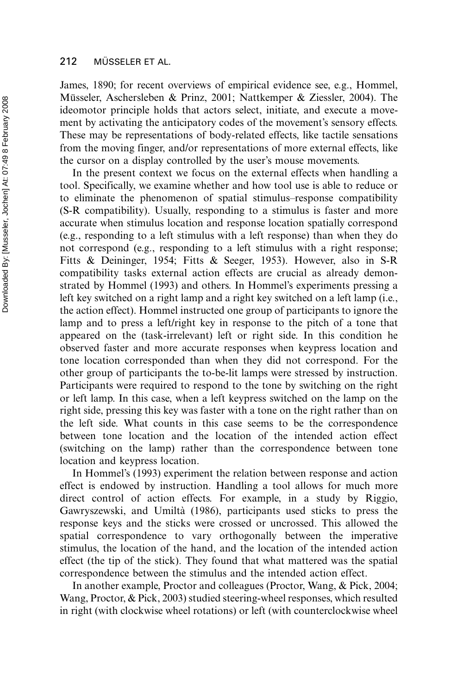James, 1890; for recent overviews of empirical evidence see, e.g., Hommel, Müsseler, Aschersleben & Prinz, 2001; Nattkemper & Ziessler, 2004). The ideomotor principle holds that actors select, initiate, and execute a movement by activating the anticipatory codes of the movement's sensory effects. These may be representations of body-related effects, like tactile sensations from the moving finger, and/or representations of more external effects, like the cursor on a display controlled by the user's mouse movements.

In the present context we focus on the external effects when handling a tool. Specifically, we examine whether and how tool use is able to reduce or to eliminate the phenomenon of spatial stimulus–response compatibility (S-R compatibility). Usually, responding to a stimulus is faster and more accurate when stimulus location and response location spatially correspond (e.g., responding to a left stimulus with a left response) than when they do not correspond (e.g., responding to a left stimulus with a right response; Fitts & Deininger, 1954; Fitts & Seeger, 1953). However, also in S-R compatibility tasks external action effects are crucial as already demonstrated by Hommel (1993) and others. In Hommel's experiments pressing a left key switched on a right lamp and a right key switched on a left lamp (i.e., the action effect). Hommel instructed one group of participants to ignore the lamp and to press a left/right key in response to the pitch of a tone that appeared on the (task-irrelevant) left or right side. In this condition he observed faster and more accurate responses when keypress location and tone location corresponded than when they did not correspond. For the other group of participants the to-be-lit lamps were stressed by instruction. Participants were required to respond to the tone by switching on the right or left lamp. In this case, when a left keypress switched on the lamp on the right side, pressing this key was faster with a tone on the right rather than on the left side. What counts in this case seems to be the correspondence between tone location and the location of the intended action effect (switching on the lamp) rather than the correspondence between tone location and keypress location.

In Hommel's (1993) experiment the relation between response and action effect is endowed by instruction. Handling a tool allows for much more direct control of action effects. For example, in a study by Riggio, Gawryszewski, and Umilta` (1986), participants used sticks to press the response keys and the sticks were crossed or uncrossed. This allowed the spatial correspondence to vary orthogonally between the imperative stimulus, the location of the hand, and the location of the intended action effect (the tip of the stick). They found that what mattered was the spatial correspondence between the stimulus and the intended action effect.

In another example, Proctor and colleagues (Proctor, Wang, & Pick, 2004; Wang, Proctor, & Pick, 2003) studied steering-wheel responses, which resulted in right (with clockwise wheel rotations) or left (with counterclockwise wheel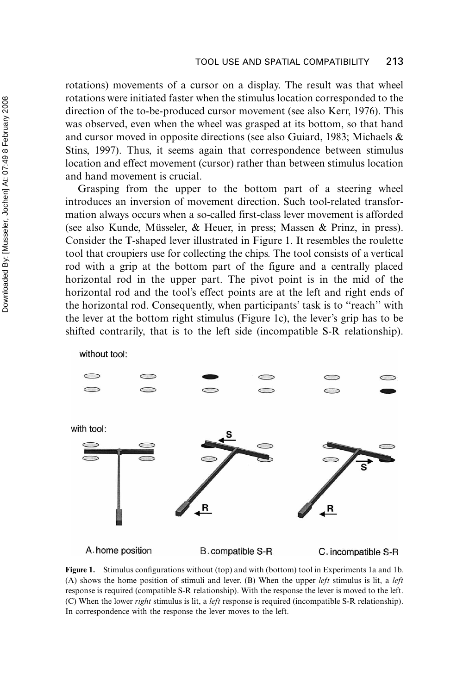rotations) movements of a cursor on a display. The result was that wheel rotations were initiated faster when the stimulus location corresponded to the direction of the to-be-produced cursor movement (see also Kerr, 1976). This was observed, even when the wheel was grasped at its bottom, so that hand and cursor moved in opposite directions (see also Guiard, 1983; Michaels & Stins, 1997). Thus, it seems again that correspondence between stimulus location and effect movement (cursor) rather than between stimulus location and hand movement is crucial.

Grasping from the upper to the bottom part of a steering wheel introduces an inversion of movement direction. Such tool-related transformation always occurs when a so-called first-class lever movement is afforded (see also Kunde, Müsseler, & Heuer, in press; Massen & Prinz, in press). Consider the T-shaped lever illustrated in Figure 1. It resembles the roulette tool that croupiers use for collecting the chips. The tool consists of a vertical rod with a grip at the bottom part of the figure and a centrally placed horizontal rod in the upper part. The pivot point is in the mid of the horizontal rod and the tool's effect points are at the left and right ends of the horizontal rod. Consequently, when participants' task is to ''reach'' with the lever at the bottom right stimulus (Figure 1c), the lever's grip has to be shifted contrarily, that is to the left side (incompatible S-R relationship).



Figure 1. Stimulus configurations without (top) and with (bottom) tool in Experiments 1a and 1b. (A) shows the home position of stimuli and lever. (B) When the upper *left* stimulus is lit, a *left* response is required (compatible S-R relationship). With the response the lever is moved to the left. (C) When the lower right stimulus is lit, a left response is required (incompatible S-R relationship). In correspondence with the response the lever moves to the left.

without tool: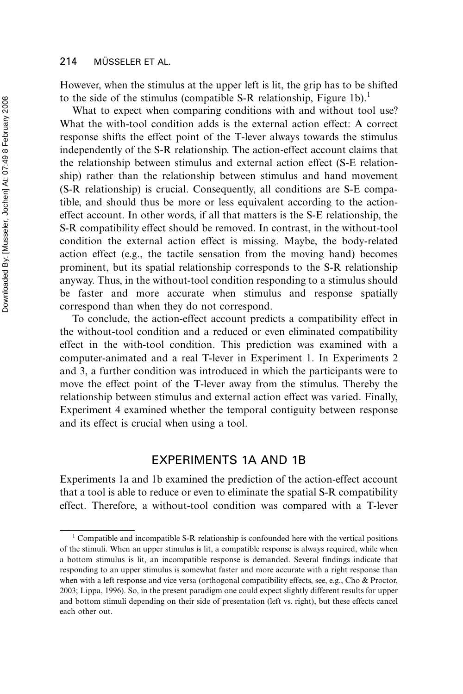However, when the stimulus at the upper left is lit, the grip has to be shifted to the side of the stimulus (compatible S-R relationship, Figure 1b).<sup>1</sup>

What to expect when comparing conditions with and without tool use? What the with-tool condition adds is the external action effect: A correct response shifts the effect point of the T-lever always towards the stimulus independently of the S-R relationship. The action-effect account claims that the relationship between stimulus and external action effect (S-E relationship) rather than the relationship between stimulus and hand movement (S-R relationship) is crucial. Consequently, all conditions are S-E compatible, and should thus be more or less equivalent according to the actioneffect account. In other words, if all that matters is the S-E relationship, the S-R compatibility effect should be removed. In contrast, in the without-tool condition the external action effect is missing. Maybe, the body-related action effect (e.g., the tactile sensation from the moving hand) becomes prominent, but its spatial relationship corresponds to the S-R relationship anyway. Thus, in the without-tool condition responding to a stimulus should be faster and more accurate when stimulus and response spatially correspond than when they do not correspond.

To conclude, the action-effect account predicts a compatibility effect in the without-tool condition and a reduced or even eliminated compatibility effect in the with-tool condition. This prediction was examined with a computer-animated and a real T-lever in Experiment 1. In Experiments 2 and 3, a further condition was introduced in which the participants were to move the effect point of the T-lever away from the stimulus. Thereby the relationship between stimulus and external action effect was varied. Finally, Experiment 4 examined whether the temporal contiguity between response and its effect is crucial when using a tool.

## EXPERIMENTS 1A AND 1B

Experiments 1a and 1b examined the prediction of the action-effect account that a tool is able to reduce or even to eliminate the spatial S-R compatibility effect. Therefore, a without-tool condition was compared with a T-lever

<sup>&</sup>lt;sup>1</sup> Compatible and incompatible S-R relationship is confounded here with the vertical positions of the stimuli. When an upper stimulus is lit, a compatible response is always required, while when a bottom stimulus is lit, an incompatible response is demanded. Several findings indicate that responding to an upper stimulus is somewhat faster and more accurate with a right response than when with a left response and vice versa (orthogonal compatibility effects, see, e.g., Cho & Proctor, 2003; Lippa, 1996). So, in the present paradigm one could expect slightly different results for upper and bottom stimuli depending on their side of presentation (left vs. right), but these effects cancel each other out.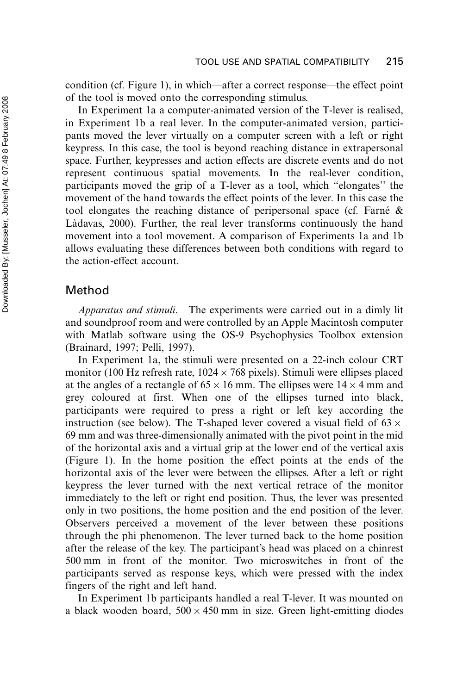condition (cf. Figure 1), in which—after a correct response—the effect point of the tool is moved onto the corresponding stimulus.

In Experiment 1a a computer-animated version of the T-lever is realised, in Experiment 1b a real lever. In the computer-animated version, participants moved the lever virtually on a computer screen with a left or right keypress. In this case, the tool is beyond reaching distance in extrapersonal space. Further, keypresses and action effects are discrete events and do not represent continuous spatial movements. In the real-lever condition, participants moved the grip of a T-lever as a tool, which ''elongates'' the movement of the hand towards the effect points of the lever. In this case the tool elongates the reaching distance of peripersonal space (cf. Farné  $\&$ Làdavas, 2000). Further, the real lever transforms continuously the hand movement into a tool movement. A comparison of Experiments 1a and 1b allows evaluating these differences between both conditions with regard to the action-effect account.

#### Method

Apparatus and stimuli. The experiments were carried out in a dimly lit and soundproof room and were controlled by an Apple Macintosh computer with Matlab software using the OS-9 Psychophysics Toolbox extension (Brainard, 1997; Pelli, 1997).

In Experiment 1a, the stimuli were presented on a 22-inch colour CRT monitor (100 Hz refresh rate,  $1024 \times 768$  pixels). Stimuli were ellipses placed at the angles of a rectangle of  $65 \times 16$  mm. The ellipses were  $14 \times 4$  mm and grey coloured at first. When one of the ellipses turned into black, participants were required to press a right or left key according the instruction (see below). The T-shaped lever covered a visual field of  $63 \times$ 69 mm and was three-dimensionally animated with the pivot point in the mid of the horizontal axis and a virtual grip at the lower end of the vertical axis (Figure 1). In the home position the effect points at the ends of the horizontal axis of the lever were between the ellipses. After a left or right keypress the lever turned with the next vertical retrace of the monitor immediately to the left or right end position. Thus, the lever was presented only in two positions, the home position and the end position of the lever. Observers perceived a movement of the lever between these positions through the phi phenomenon. The lever turned back to the home position after the release of the key. The participant's head was placed on a chinrest 500 mm in front of the monitor. Two microswitches in front of the participants served as response keys, which were pressed with the index fingers of the right and left hand.

In Experiment 1b participants handled a real T-lever. It was mounted on a black wooden board,  $500 \times 450$  mm in size. Green light-emitting diodes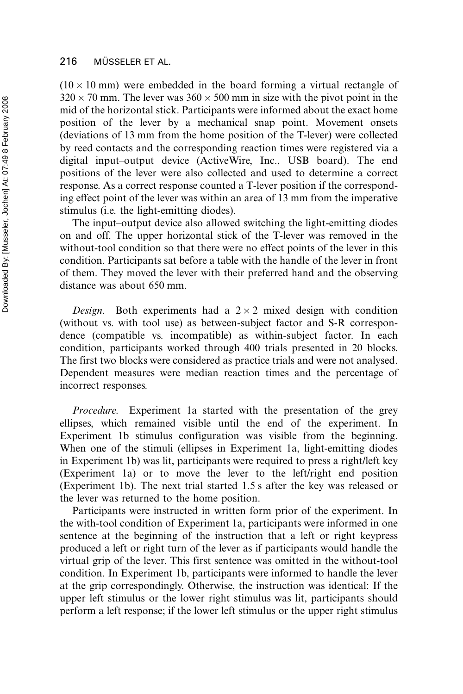$(10 \times 10 \text{ mm})$  were embedded in the board forming a virtual rectangle of  $320 \times 70$  mm. The lever was  $360 \times 500$  mm in size with the pivot point in the mid of the horizontal stick. Participants were informed about the exact home position of the lever by a mechanical snap point. Movement onsets (deviations of 13 mm from the home position of the T-lever) were collected by reed contacts and the corresponding reaction times were registered via a digital input-output device (ActiveWire, Inc., USB board). The end positions of the lever were also collected and used to determine a correct response. As a correct response counted a T-lever position if the corresponding effect point of the lever was within an area of 13 mm from the imperative stimulus (i.e. the light-emitting diodes).

The input-output device also allowed switching the light-emitting diodes on and off. The upper horizontal stick of the T-lever was removed in the without-tool condition so that there were no effect points of the lever in this condition. Participants sat before a table with the handle of the lever in front of them. They moved the lever with their preferred hand and the observing distance was about 650 mm.

*Design.* Both experiments had a  $2 \times 2$  mixed design with condition (without vs. with tool use) as between-subject factor and S-R correspondence (compatible vs. incompatible) as within-subject factor. In each condition, participants worked through 400 trials presented in 20 blocks. The first two blocks were considered as practice trials and were not analysed. Dependent measures were median reaction times and the percentage of incorrect responses.

Procedure. Experiment 1a started with the presentation of the grey ellipses, which remained visible until the end of the experiment. In Experiment 1b stimulus configuration was visible from the beginning. When one of the stimuli (ellipses in Experiment 1a, light-emitting diodes in Experiment 1b) was lit, participants were required to press a right/left key (Experiment 1a) or to move the lever to the left/right end position (Experiment 1b). The next trial started 1.5 s after the key was released or the lever was returned to the home position.

Participants were instructed in written form prior of the experiment. In the with-tool condition of Experiment 1a, participants were informed in one sentence at the beginning of the instruction that a left or right keypress produced a left or right turn of the lever as if participants would handle the virtual grip of the lever. This first sentence was omitted in the without-tool condition. In Experiment 1b, participants were informed to handle the lever at the grip correspondingly. Otherwise, the instruction was identical: If the upper left stimulus or the lower right stimulus was lit, participants should perform a left response; if the lower left stimulus or the upper right stimulus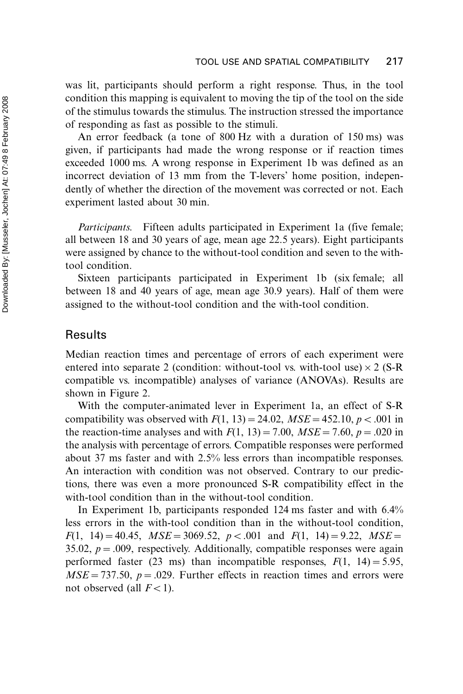was lit, participants should perform a right response. Thus, in the tool condition this mapping is equivalent to moving the tip of the tool on the side of the stimulus towards the stimulus. The instruction stressed the importance of responding as fast as possible to the stimuli.

An error feedback (a tone of 800 Hz with a duration of 150 ms) was given, if participants had made the wrong response or if reaction times exceeded 1000 ms. A wrong response in Experiment 1b was defined as an incorrect deviation of 13 mm from the T-levers' home position, independently of whether the direction of the movement was corrected or not. Each experiment lasted about 30 min.

Participants. Fifteen adults participated in Experiment 1a (five female; all between 18 and 30 years of age, mean age 22.5 years). Eight participants were assigned by chance to the without-tool condition and seven to the withtool condition.

Sixteen participants participated in Experiment 1b (six female; all between 18 and 40 years of age, mean age 30.9 years). Half of them were assigned to the without-tool condition and the with-tool condition.

#### Results

Median reaction times and percentage of errors of each experiment were entered into separate 2 (condition: without-tool vs. with-tool use)  $\times$  2 (S-R compatible vs. incompatible) analyses of variance (ANOVAs). Results are shown in Figure 2.

With the computer-animated lever in Experiment 1a, an effect of S-R compatibility was observed with  $F(1, 13) = 24.02$ ,  $MSE = 452.10$ ,  $p < .001$  in the reaction-time analyses and with  $F(1, 13) = 7.00$ ,  $MSE = 7.60$ ,  $p = .020$  in the analysis with percentage of errors. Compatible responses were performed about 37 ms faster and with 2.5% less errors than incompatible responses. An interaction with condition was not observed. Contrary to our predictions, there was even a more pronounced S-R compatibility effect in the with-tool condition than in the without-tool condition.

In Experiment 1b, participants responded 124 ms faster and with 6.4% less errors in the with-tool condition than in the without-tool condition,  $F(1, 14) = 40.45$ ,  $MSE = 3069.52$ ,  $p < .001$  and  $F(1, 14) = 9.22$ ,  $MSE =$ 35.02,  $p = 0.009$ , respectively. Additionally, compatible responses were again performed faster (23 ms) than incompatible responses,  $F(1, 14) = 5.95$ ,  $MSE = 737.50$ ,  $p = .029$ . Further effects in reaction times and errors were not observed (all  $F<1$ ).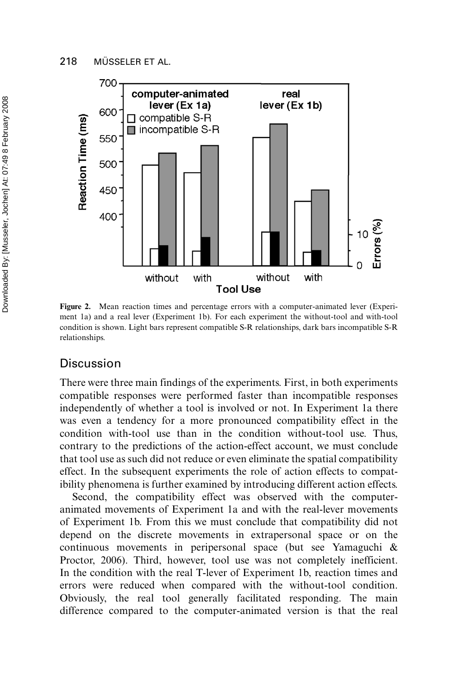

Figure 2. Mean reaction times and percentage errors with a computer-animated lever (Experiment 1a) and a real lever (Experiment 1b). For each experiment the without-tool and with-tool condition is shown. Light bars represent compatible S-R relationships, dark bars incompatible S-R relationships.

## Discussion

There were three main findings of the experiments. First, in both experiments compatible responses were performed faster than incompatible responses independently of whether a tool is involved or not. In Experiment 1a there was even a tendency for a more pronounced compatibility effect in the condition with-tool use than in the condition without-tool use. Thus, contrary to the predictions of the action-effect account, we must conclude that tool use as such did not reduce or even eliminate the spatial compatibility effect. In the subsequent experiments the role of action effects to compatibility phenomena is further examined by introducing different action effects.

Second, the compatibility effect was observed with the computeranimated movements of Experiment 1a and with the real-lever movements of Experiment 1b. From this we must conclude that compatibility did not depend on the discrete movements in extrapersonal space or on the continuous movements in peripersonal space (but see Yamaguchi & Proctor, 2006). Third, however, tool use was not completely inefficient. In the condition with the real T-lever of Experiment 1b, reaction times and errors were reduced when compared with the without-tool condition. Obviously, the real tool generally facilitated responding. The main difference compared to the computer-animated version is that the real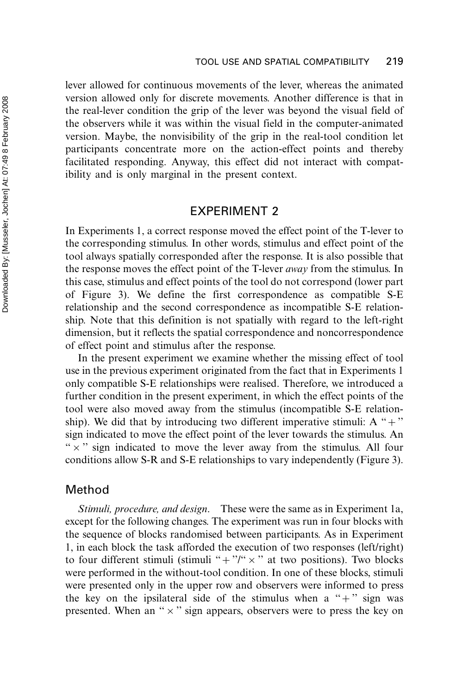lever allowed for continuous movements of the lever, whereas the animated version allowed only for discrete movements. Another difference is that in the real-lever condition the grip of the lever was beyond the visual field of the observers while it was within the visual field in the computer-animated version. Maybe, the nonvisibility of the grip in the real-tool condition let participants concentrate more on the action-effect points and thereby facilitated responding. Anyway, this effect did not interact with compatibility and is only marginal in the present context.

## EXPERIMENT 2

In Experiments 1, a correct response moved the effect point of the T-lever to the corresponding stimulus. In other words, stimulus and effect point of the tool always spatially corresponded after the response. It is also possible that the response moves the effect point of the T-lever *away* from the stimulus. In this case, stimulus and effect points of the tool do not correspond (lower part of Figure 3). We define the first correspondence as compatible S-E relationship and the second correspondence as incompatible S-E relationship. Note that this definition is not spatially with regard to the left-right dimension, but it reflects the spatial correspondence and noncorrespondence of effect point and stimulus after the response.

In the present experiment we examine whether the missing effect of tool use in the previous experiment originated from the fact that in Experiments 1 only compatible S-E relationships were realised. Therefore, we introduced a further condition in the present experiment, in which the effect points of the tool were also moved away from the stimulus (incompatible S-E relationship). We did that by introducing two different imperative stimuli: A " $+$ " sign indicated to move the effect point of the lever towards the stimulus. An " $\times$ " sign indicated to move the lever away from the stimulus. All four conditions allow S-R and S-E relationships to vary independently (Figure 3).

## Method

Stimuli, procedure, and design. These were the same as in Experiment 1a, except for the following changes. The experiment was run in four blocks with the sequence of blocks randomised between participants. As in Experiment 1, in each block the task afforded the execution of two responses (left/right) to four different stimuli (stimuli " $+$ "'''  $\times$ " at two positions). Two blocks were performed in the without-tool condition. In one of these blocks, stimuli were presented only in the upper row and observers were informed to press the key on the ipsilateral side of the stimulus when a " $'$ " sign was presented. When an " $\times$ " sign appears, observers were to press the key on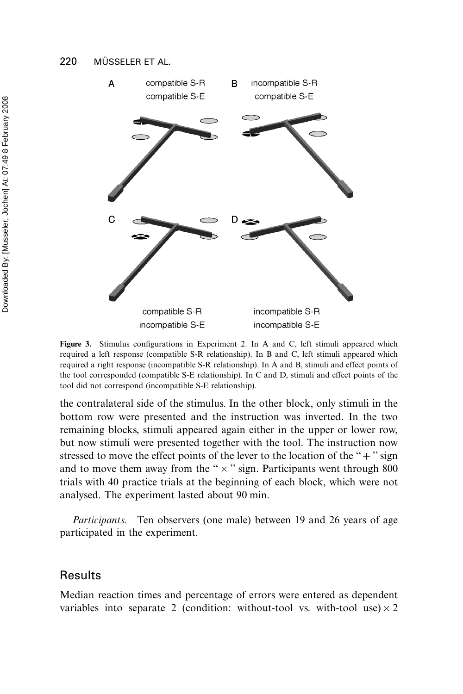

Figure 3. Stimulus configurations in Experiment 2. In A and C, left stimuli appeared which required a left response (compatible S-R relationship). In B and C, left stimuli appeared which required a right response (incompatible S-R relationship). In A and B, stimuli and effect points of the tool corresponded (compatible S-E relationship). In C and D, stimuli and effect points of the tool did not correspond (incompatible S-E relationship).

the contralateral side of the stimulus. In the other block, only stimuli in the bottom row were presented and the instruction was inverted. In the two remaining blocks, stimuli appeared again either in the upper or lower row, but now stimuli were presented together with the tool. The instruction now stressed to move the effect points of the lever to the location of the " $+$ " sign and to move them away from the " $\times$ " sign. Participants went through 800 trials with 40 practice trials at the beginning of each block, which were not analysed. The experiment lasted about 90 min.

Participants. Ten observers (one male) between 19 and 26 years of age participated in the experiment.

#### Results

Median reaction times and percentage of errors were entered as dependent variables into separate 2 (condition: without-tool vs. with-tool use)  $\times$  2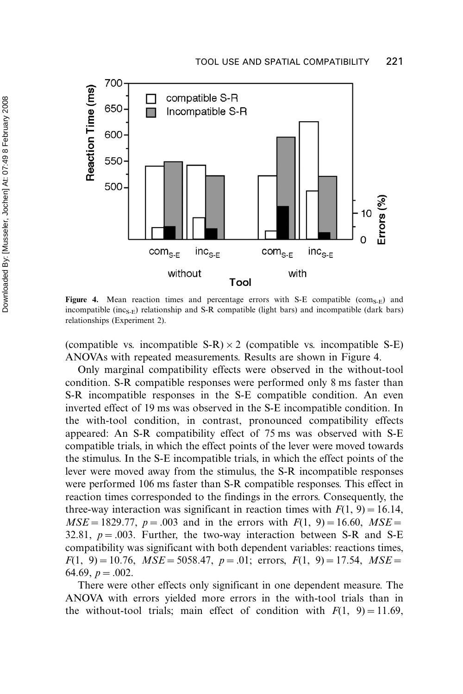

Figure 4. Mean reaction times and percentage errors with S-E compatible  $(\text{com}_{S-E})$  and incompatible (inc $_{S-E}$ ) relationship and S-R compatible (light bars) and incompatible (dark bars) relationships (Experiment 2).

(compatible vs. incompatible S-R)  $\times$  2 (compatible vs. incompatible S-E) ANOVAs with repeated measurements. Results are shown in Figure 4.

Only marginal compatibility effects were observed in the without-tool condition. S-R compatible responses were performed only 8 ms faster than S-R incompatible responses in the S-E compatible condition. An even inverted effect of 19 ms was observed in the S-E incompatible condition. In the with-tool condition, in contrast, pronounced compatibility effects appeared: An S-R compatibility effect of 75 ms was observed with S-E compatible trials, in which the effect points of the lever were moved towards the stimulus. In the S-E incompatible trials, in which the effect points of the lever were moved away from the stimulus, the S-R incompatible responses were performed 106 ms faster than S-R compatible responses. This effect in reaction times corresponded to the findings in the errors. Consequently, the three-way interaction was significant in reaction times with  $F(1, 9) = 16.14$ ,  $MSE = 1829.77$ ,  $p = .003$  and in the errors with  $F(1, 9) = 16.60$ ,  $MSE =$ 32.81,  $p = .003$ . Further, the two-way interaction between S-R and S-E compatibility was significant with both dependent variables: reactions times,  $F(1, 9) = 10.76$ ,  $MSE = 5058.47$ ,  $p = .01$ ; errors,  $F(1, 9) = 17.54$ ,  $MSE =$ 64.69,  $p = .002$ .

There were other effects only significant in one dependent measure. The ANOVA with errors yielded more errors in the with-tool trials than in the without-tool trials; main effect of condition with  $F(1, 9) = 11.69$ ,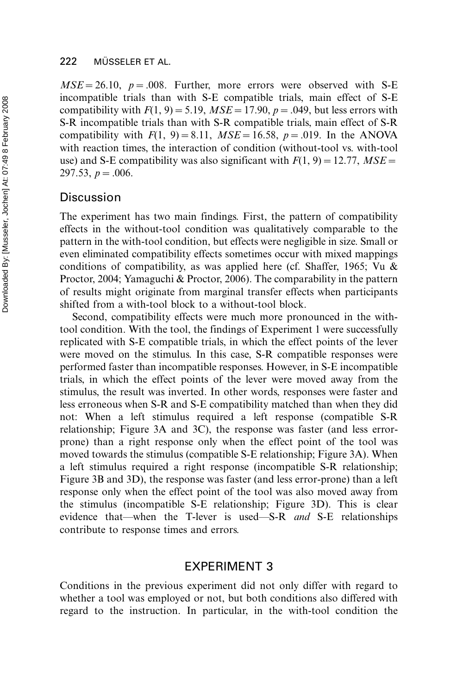$MSE = 26.10$ ,  $p = .008$ . Further, more errors were observed with S-E incompatible trials than with S-E compatible trials, main effect of S-E compatibility with  $F(1, 9) = 5.19$ ,  $MSE = 17.90$ ,  $p = .049$ , but less errors with S-R incompatible trials than with S-R compatible trials, main effect of S-R compatibility with  $F(1, 9) = 8.11$ ,  $MSE = 16.58$ ,  $p = .019$ . In the ANOVA with reaction times, the interaction of condition (without-tool vs. with-tool use) and S-E compatibility was also significant with  $F(1, 9) = 12.77$ ,  $MSE =$ 297.53,  $p = .006$ .

#### **Discussion**

The experiment has two main findings. First, the pattern of compatibility effects in the without-tool condition was qualitatively comparable to the pattern in the with-tool condition, but effects were negligible in size. Small or even eliminated compatibility effects sometimes occur with mixed mappings conditions of compatibility, as was applied here (cf. Shaffer, 1965; Vu  $\&$ Proctor, 2004; Yamaguchi & Proctor, 2006). The comparability in the pattern of results might originate from marginal transfer effects when participants shifted from a with-tool block to a without-tool block.

Second, compatibility effects were much more pronounced in the withtool condition. With the tool, the findings of Experiment 1 were successfully replicated with S-E compatible trials, in which the effect points of the lever were moved on the stimulus. In this case, S-R compatible responses were performed faster than incompatible responses. However, in S-E incompatible trials, in which the effect points of the lever were moved away from the stimulus, the result was inverted. In other words, responses were faster and less erroneous when S-R and S-E compatibility matched than when they did not: When a left stimulus required a left response (compatible S-R relationship; Figure 3A and 3C), the response was faster (and less errorprone) than a right response only when the effect point of the tool was moved towards the stimulus (compatible S-E relationship; Figure 3A). When a left stimulus required a right response (incompatible S-R relationship; Figure 3B and 3D), the response was faster (and less error-prone) than a left response only when the effect point of the tool was also moved away from the stimulus (incompatible S-E relationship; Figure 3D). This is clear evidence that—when the T-lever is used—S-R and S-E relationships contribute to response times and errors.

## EXPERIMENT 3

Conditions in the previous experiment did not only differ with regard to whether a tool was employed or not, but both conditions also differed with regard to the instruction. In particular, in the with-tool condition the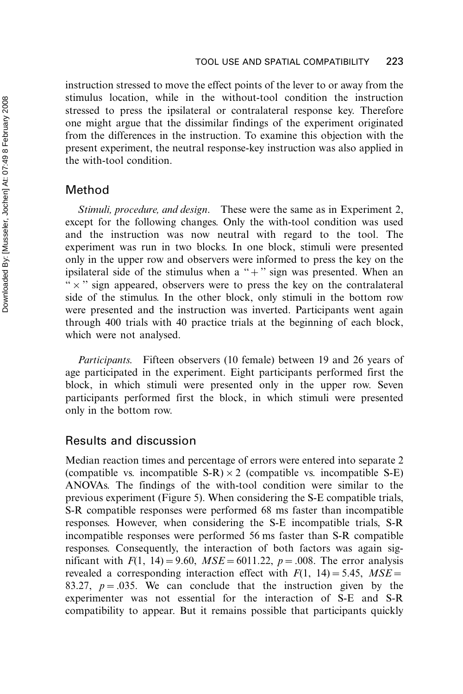instruction stressed to move the effect points of the lever to or away from the stimulus location, while in the without-tool condition the instruction stressed to press the ipsilateral or contralateral response key. Therefore one might argue that the dissimilar findings of the experiment originated from the differences in the instruction. To examine this objection with the present experiment, the neutral response-key instruction was also applied in the with-tool condition.

## Method

Stimuli, procedure, and design. These were the same as in Experiment 2, except for the following changes. Only the with-tool condition was used and the instruction was now neutral with regard to the tool. The experiment was run in two blocks. In one block, stimuli were presented only in the upper row and observers were informed to press the key on the ipsilateral side of the stimulus when a " $+$ " sign was presented. When an " $\times$ " sign appeared, observers were to press the key on the contralateral side of the stimulus. In the other block, only stimuli in the bottom row were presented and the instruction was inverted. Participants went again through 400 trials with 40 practice trials at the beginning of each block, which were not analysed.

Participants. Fifteen observers (10 female) between 19 and 26 years of age participated in the experiment. Eight participants performed first the block, in which stimuli were presented only in the upper row. Seven participants performed first the block, in which stimuli were presented only in the bottom row.

## Results and discussion

Median reaction times and percentage of errors were entered into separate 2 (compatible vs. incompatible S-R)  $\times$  2 (compatible vs. incompatible S-E) ANOVAs. The findings of the with-tool condition were similar to the previous experiment (Figure 5). When considering the S-E compatible trials, S-R compatible responses were performed 68 ms faster than incompatible responses. However, when considering the S-E incompatible trials, S-R incompatible responses were performed 56 ms faster than S-R compatible responses. Consequently, the interaction of both factors was again significant with  $F(1, 14) = 9.60$ ,  $MSE = 6011.22$ ,  $p = .008$ . The error analysis revealed a corresponding interaction effect with  $F(1, 14) = 5.45$ ,  $MSE =$ 83.27,  $p = 0.035$ . We can conclude that the instruction given by the experimenter was not essential for the interaction of S-E and S-R compatibility to appear. But it remains possible that participants quickly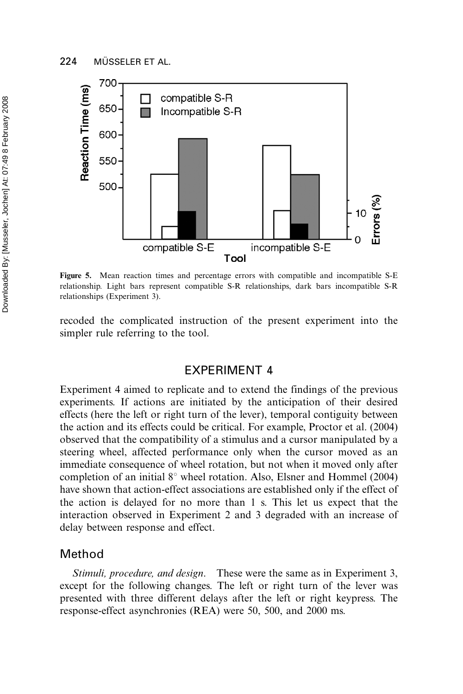

Figure 5. Mean reaction times and percentage errors with compatible and incompatible S-E relationship. Light bars represent compatible S-R relationships, dark bars incompatible S-R relationships (Experiment 3).

recoded the complicated instruction of the present experiment into the simpler rule referring to the tool.

#### EXPERIMENT 4

Experiment 4 aimed to replicate and to extend the findings of the previous experiments. If actions are initiated by the anticipation of their desired effects (here the left or right turn of the lever), temporal contiguity between the action and its effects could be critical. For example, Proctor et al. (2004) observed that the compatibility of a stimulus and a cursor manipulated by a steering wheel, affected performance only when the cursor moved as an immediate consequence of wheel rotation, but not when it moved only after completion of an initial  $8^\circ$  wheel rotation. Also, Elsner and Hommel (2004) have shown that action-effect associations are established only if the effect of the action is delayed for no more than 1 s. This let us expect that the interaction observed in Experiment 2 and 3 degraded with an increase of delay between response and effect.

#### Method

Stimuli, procedure, and design. These were the same as in Experiment 3, except for the following changes. The left or right turn of the lever was presented with three different delays after the left or right keypress. The response-effect asynchronies (REA) were 50, 500, and 2000 ms.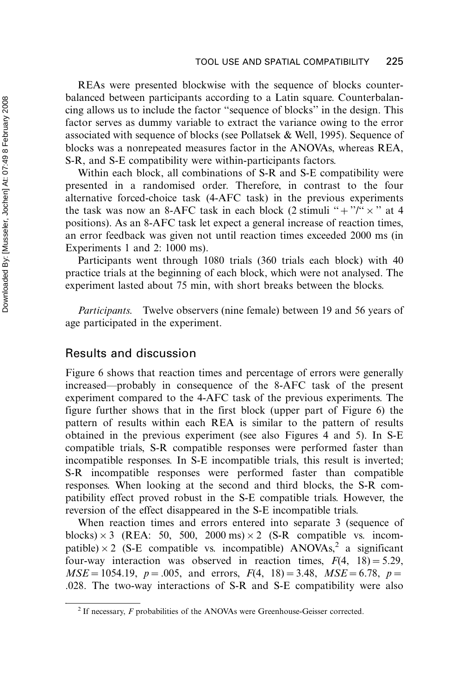REAs were presented blockwise with the sequence of blocks counterbalanced between participants according to a Latin square. Counterbalancing allows us to include the factor ''sequence of blocks'' in the design. This factor serves as dummy variable to extract the variance owing to the error associated with sequence of blocks (see Pollatsek & Well, 1995). Sequence of blocks was a nonrepeated measures factor in the ANOVAs, whereas REA, S-R, and S-E compatibility were within-participants factors.

Within each block, all combinations of S-R and S-E compatibility were presented in a randomised order. Therefore, in contrast to the four alternative forced-choice task (4-AFC task) in the previous experiments the task was now an 8-AFC task in each block (2 stimuli " $+$ "/" $\times$ " at 4 positions). As an 8-AFC task let expect a general increase of reaction times, an error feedback was given not until reaction times exceeded 2000 ms (in Experiments 1 and 2: 1000 ms).

Participants went through 1080 trials (360 trials each block) with 40 practice trials at the beginning of each block, which were not analysed. The experiment lasted about 75 min, with short breaks between the blocks.

Participants. Twelve observers (nine female) between 19 and 56 years of age participated in the experiment.

#### Results and discussion

Figure 6 shows that reaction times and percentage of errors were generally increased\*probably in consequence of the 8-AFC task of the present experiment compared to the 4-AFC task of the previous experiments. The figure further shows that in the first block (upper part of Figure 6) the pattern of results within each REA is similar to the pattern of results obtained in the previous experiment (see also Figures 4 and 5). In S-E compatible trials, S-R compatible responses were performed faster than incompatible responses. In S-E incompatible trials, this result is inverted; S-R incompatible responses were performed faster than compatible responses. When looking at the second and third blocks, the S-R compatibility effect proved robust in the S-E compatible trials. However, the reversion of the effect disappeared in the S-E incompatible trials.

When reaction times and errors entered into separate 3 (sequence of blocks) $\times$ 3 (REA: 50, 500, 2000 ms) $\times$ 2 (S-R compatible vs. incompatible) $\times$ 2 (S-E compatible vs. incompatible) ANOVAs,<sup>2</sup> a significant four-way interaction was observed in reaction times,  $F(4, 18) = 5.29$ ,  $MSE = 1054.19$ ,  $p = .005$ , and errors,  $F(4, 18) = 3.48$ ,  $MSE = 6.78$ ,  $p =$ .028. The two-way interactions of S-R and S-E compatibility were also

 $2$  If necessary, F probabilities of the ANOVAs were Greenhouse-Geisser corrected.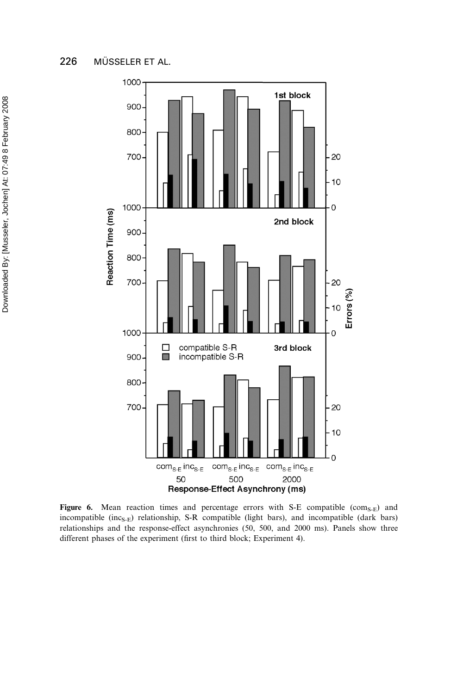

Figure 6. Mean reaction times and percentage errors with S-E compatible  $(\text{com}_{S-E})$  and incompatible (inc<sub>S-E</sub>) relationship, S-R compatible (light bars), and incompatible (dark bars) relationships and the response-effect asynchronies (50, 500, and 2000 ms). Panels show three different phases of the experiment (first to third block; Experiment 4).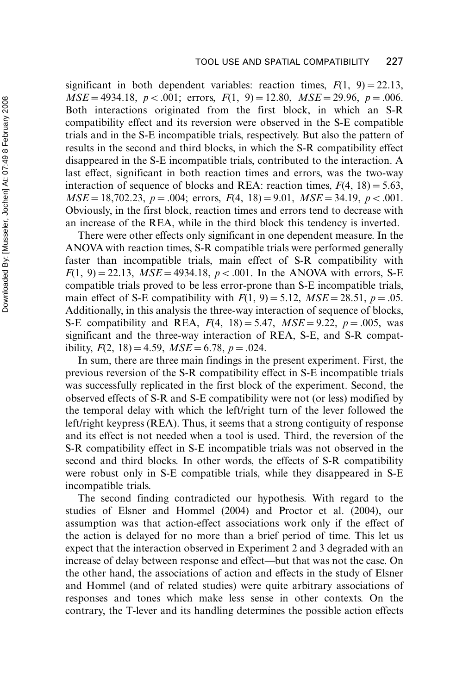significant in both dependent variables: reaction times,  $F(1, 9) = 22.13$ ,  $MSE = 4934.18$ ,  $p < .001$ ; errors,  $F(1, 9) = 12.80$ ,  $MSE = 29.96$ ,  $p = .006$ . Both interactions originated from the first block, in which an S-R compatibility effect and its reversion were observed in the S-E compatible trials and in the S-E incompatible trials, respectively. But also the pattern of results in the second and third blocks, in which the S-R compatibility effect disappeared in the S-E incompatible trials, contributed to the interaction. A last effect, significant in both reaction times and errors, was the two-way interaction of sequence of blocks and REA: reaction times,  $F(4, 18) = 5.63$ ,  $MSE = 18,702.23, p = .004$ ; errors,  $F(4, 18) = 9.01, MSE = 34.19, p < .001$ . Obviously, in the first block, reaction times and errors tend to decrease with an increase of the REA, while in the third block this tendency is inverted.

There were other effects only significant in one dependent measure. In the ANOVA with reaction times, S-R compatible trials were performed generally faster than incompatible trials, main effect of S-R compatibility with  $F(1, 9) = 22.13$ ,  $MSE = 4934.18$ ,  $p < .001$ . In the ANOVA with errors, S-E compatible trials proved to be less error-prone than S-E incompatible trials, main effect of S-E compatibility with  $F(1, 9) = 5.12$ ,  $MSE = 28.51$ ,  $p = .05$ . Additionally, in this analysis the three-way interaction of sequence of blocks, S-E compatibility and REA,  $F(4, 18) = 5.47$ ,  $MSE = 9.22$ ,  $p = .005$ , was significant and the three-way interaction of REA, S-E, and S-R compatibility,  $F(2, 18) = 4.59$ ,  $MSE = 6.78$ ,  $p = .024$ .

In sum, there are three main findings in the present experiment. First, the previous reversion of the S-R compatibility effect in S-E incompatible trials was successfully replicated in the first block of the experiment. Second, the observed effects of S-R and S-E compatibility were not (or less) modified by the temporal delay with which the left/right turn of the lever followed the left/right keypress (REA). Thus, it seems that a strong contiguity of response and its effect is not needed when a tool is used. Third, the reversion of the S-R compatibility effect in S-E incompatible trials was not observed in the second and third blocks. In other words, the effects of S-R compatibility were robust only in S-E compatible trials, while they disappeared in S-E incompatible trials.

The second finding contradicted our hypothesis. With regard to the studies of Elsner and Hommel (2004) and Proctor et al. (2004), our assumption was that action-effect associations work only if the effect of the action is delayed for no more than a brief period of time. This let us expect that the interaction observed in Experiment 2 and 3 degraded with an increase of delay between response and effect—but that was not the case. On the other hand, the associations of action and effects in the study of Elsner and Hommel (and of related studies) were quite arbitrary associations of responses and tones which make less sense in other contexts. On the contrary, the T-lever and its handling determines the possible action effects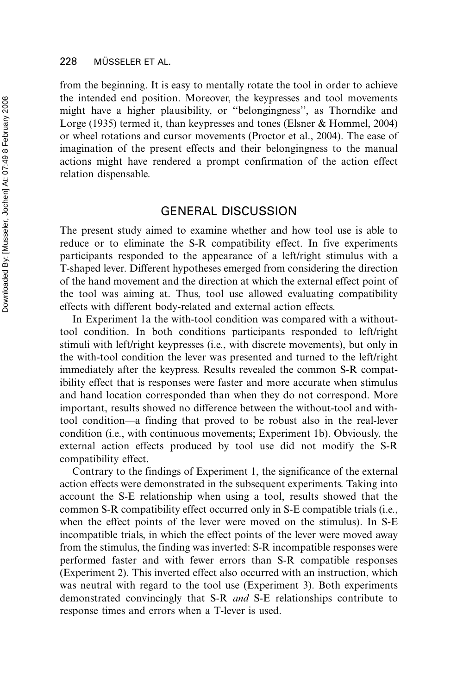from the beginning. It is easy to mentally rotate the tool in order to achieve the intended end position. Moreover, the keypresses and tool movements might have a higher plausibility, or ''belongingness'', as Thorndike and Lorge (1935) termed it, than keypresses and tones (Elsner & Hommel, 2004) or wheel rotations and cursor movements (Proctor et al., 2004). The ease of imagination of the present effects and their belongingness to the manual actions might have rendered a prompt confirmation of the action effect relation dispensable.

## GENERAL DISCUSSION

The present study aimed to examine whether and how tool use is able to reduce or to eliminate the S-R compatibility effect. In five experiments participants responded to the appearance of a left/right stimulus with a T-shaped lever. Different hypotheses emerged from considering the direction of the hand movement and the direction at which the external effect point of the tool was aiming at. Thus, tool use allowed evaluating compatibility effects with different body-related and external action effects.

In Experiment 1a the with-tool condition was compared with a withouttool condition. In both conditions participants responded to left/right stimuli with left/right keypresses (i.e., with discrete movements), but only in the with-tool condition the lever was presented and turned to the left/right immediately after the keypress. Results revealed the common S-R compatibility effect that is responses were faster and more accurate when stimulus and hand location corresponded than when they do not correspond. More important, results showed no difference between the without-tool and withtool condition—a finding that proved to be robust also in the real-lever condition (i.e., with continuous movements; Experiment 1b). Obviously, the external action effects produced by tool use did not modify the S-R compatibility effect.

Contrary to the findings of Experiment 1, the significance of the external action effects were demonstrated in the subsequent experiments. Taking into account the S-E relationship when using a tool, results showed that the common S-R compatibility effect occurred only in S-E compatible trials (i.e., when the effect points of the lever were moved on the stimulus). In S-E incompatible trials, in which the effect points of the lever were moved away from the stimulus, the finding was inverted: S-R incompatible responses were performed faster and with fewer errors than S-R compatible responses (Experiment 2). This inverted effect also occurred with an instruction, which was neutral with regard to the tool use (Experiment 3). Both experiments demonstrated convincingly that S-R and S-E relationships contribute to response times and errors when a T-lever is used.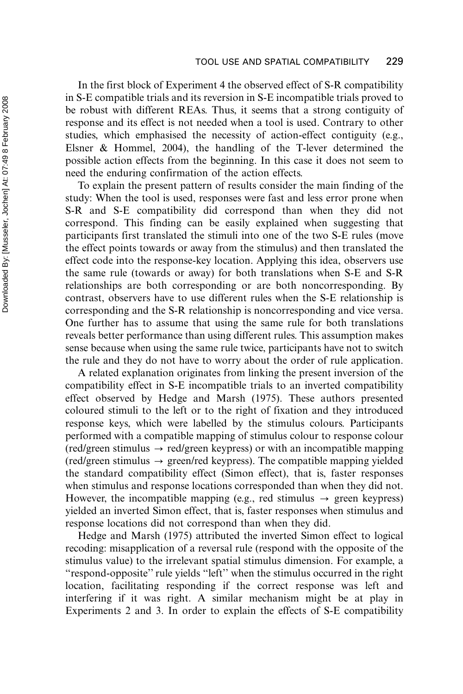In the first block of Experiment 4 the observed effect of S-R compatibility in S-E compatible trials and its reversion in S-E incompatible trials proved to be robust with different REAs. Thus, it seems that a strong contiguity of response and its effect is not needed when a tool is used. Contrary to other studies, which emphasised the necessity of action-effect contiguity (e.g., Elsner & Hommel, 2004), the handling of the T-lever determined the possible action effects from the beginning. In this case it does not seem to need the enduring confirmation of the action effects.

To explain the present pattern of results consider the main finding of the study: When the tool is used, responses were fast and less error prone when S-R and S-E compatibility did correspond than when they did not correspond. This finding can be easily explained when suggesting that participants first translated the stimuli into one of the two S-E rules (move the effect points towards or away from the stimulus) and then translated the effect code into the response-key location. Applying this idea, observers use the same rule (towards or away) for both translations when S-E and S-R relationships are both corresponding or are both noncorresponding. By contrast, observers have to use different rules when the S-E relationship is corresponding and the S-R relationship is noncorresponding and vice versa. One further has to assume that using the same rule for both translations reveals better performance than using different rules. This assumption makes sense because when using the same rule twice, participants have not to switch the rule and they do not have to worry about the order of rule application.

A related explanation originates from linking the present inversion of the compatibility effect in S-E incompatible trials to an inverted compatibility effect observed by Hedge and Marsh (1975). These authors presented coloured stimuli to the left or to the right of fixation and they introduced response keys, which were labelled by the stimulus colours. Participants performed with a compatible mapping of stimulus colour to response colour  $(\text{red/green stimulus} \rightarrow \text{red/green keypress})$  or with an incompatible mapping  $(\text{red/green stimulus} \rightarrow \text{green/red keypress})$ . The compatible mapping yielded the standard compatibility effect (Simon effect), that is, faster responses when stimulus and response locations corresponded than when they did not. However, the incompatible mapping (e.g., red stimulus  $\rightarrow$  green keypress) yielded an inverted Simon effect, that is, faster responses when stimulus and response locations did not correspond than when they did.

Hedge and Marsh (1975) attributed the inverted Simon effect to logical recoding: misapplication of a reversal rule (respond with the opposite of the stimulus value) to the irrelevant spatial stimulus dimension. For example, a "respond-opposite" rule yields "left" when the stimulus occurred in the right location, facilitating responding if the correct response was left and interfering if it was right. A similar mechanism might be at play in Experiments 2 and 3. In order to explain the effects of S-E compatibility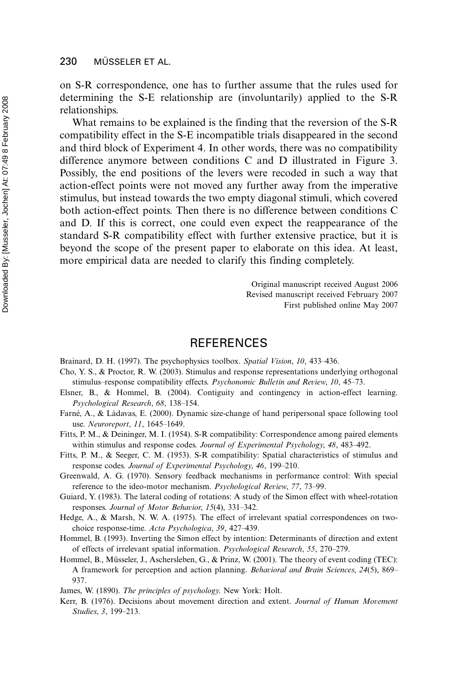on S-R correspondence, one has to further assume that the rules used for determining the S-E relationship are (involuntarily) applied to the S-R relationships.

What remains to be explained is the finding that the reversion of the S-R compatibility effect in the S-E incompatible trials disappeared in the second and third block of Experiment 4. In other words, there was no compatibility difference anymore between conditions C and D illustrated in Figure 3. Possibly, the end positions of the levers were recoded in such a way that action-effect points were not moved any further away from the imperative stimulus, but instead towards the two empty diagonal stimuli, which covered both action-effect points. Then there is no difference between conditions C and D. If this is correct, one could even expect the reappearance of the standard S-R compatibility effect with further extensive practice, but it is beyond the scope of the present paper to elaborate on this idea. At least, more empirical data are needed to clarify this finding completely.

> Original manuscript received August 2006 Revised manuscript received February 2007 First published online May 2007

#### **REFERENCES**

Brainard, D. H. (1997). The psychophysics toolbox. Spatial Vision, 10, 433-436.

- Cho, Y. S., & Proctor, R. W. (2003). Stimulus and response representations underlying orthogonal stimulus-response compatibility effects. Psychonomic Bulletin and Review, 10, 45-73.
- Elsner, B., & Hommel, B. (2004). Contiguity and contingency in action-effect learning. Psychological Research, 68, 138-154.
- Farné, A., & Làdavas, E. (2000). Dynamic size-change of hand peripersonal space following tool use. Neuroreport, 11, 1645-1649.
- Fitts, P. M., & Deininger, M. I. (1954). S-R compatibility: Correspondence among paired elements within stimulus and response codes. Journal of Experimental Psychology, 48, 483-492.
- Fitts, P. M., & Seeger, C. M. (1953). S-R compatibility: Spatial characteristics of stimulus and response codes. Journal of Experimental Psychology, 46, 199-210.

Greenwald, A. G. (1970). Sensory feedback mechanisms in performance control: With special reference to the ideo-motor mechanism. *Psychological Review*, 77, 73–99.

Guiard, Y. (1983). The lateral coding of rotations: A study of the Simon effect with wheel-rotation responses. Journal of Motor Behavior, 15(4), 331-342.

Hedge, A., & Marsh, N. W. A. (1975). The effect of irrelevant spatial correspondences on twochoice response-time. Acta Psychologica, 39, 427-439.

Hommel, B. (1993). Inverting the Simon effect by intention: Determinants of direction and extent of effects of irrelevant spatial information. *Psychological Research*, 55, 270–279.

Hommel, B., Müsseler, J., Aschersleben, G., & Prinz, W. (2001). The theory of event coding (TEC): A framework for perception and action planning. Behavioral and Brain Sciences, 24(5), 869 937.

James, W. (1890). The principles of psychology. New York: Holt.

Kerr, B. (1976). Decisions about movement direction and extent. Journal of Human Movement Studies, 3, 199-213.